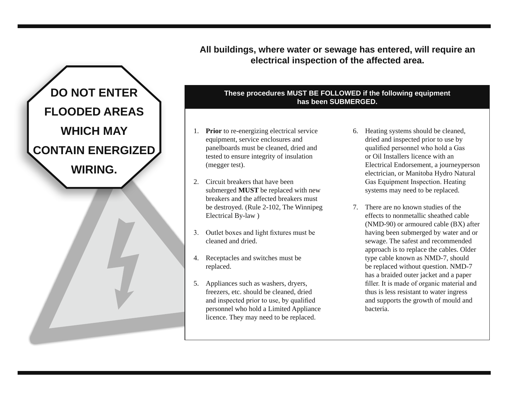**All buildings, where water or sewage has entered, will require an electrical inspection of the affected area.**



## **These procedures MUST BE FOLLOWED if the following equipment has been SUBMERGED.**

- 1. **Prior** to re-energizing electrical service equipment, service enclosures and panelboards must be cleaned, dried and tested to ensure integrity of insulation (megger test).
- 2. Circuit breakers that have been submerged **MUST** be replaced with new breakers and the affected breakers must be destroyed. (Rule 2-102, The Winnipeg Electrical By-law )
- 3. Outlet boxes and light fixtures must be cleaned and dried.
- 4. Receptacles and switches must be replaced.
- 5. Appliances such as washers, dryers, freezers, etc. should be cleaned, dried and inspected prior to use, by qualified personnel who hold a Limited Appliance licence. They may need to be replaced.
- 6. Heating systems should be cleaned, dried and inspected prior to use by qualified personnel who hold a Gas or Oil Installers licence with an Electrical Endorsement, a journeyperson electrician, or Manitoba Hydro Natural Gas Equipment Inspection. Heating systems may need to be replaced.
- 7. There are no known studies of the effects to nonmetallic sheathed cable (NMD-90) or armoured cable (BX) after having been submerged by water and or sewage. The safest and recommended approach is to replace the cables. Older type cable known as NMD-7, should be replaced without question. NMD-7 has a braided outer jacket and a paper filler. It is made of organic material and thus is less resistant to water ingress and supports the growth of mould and bacteria.